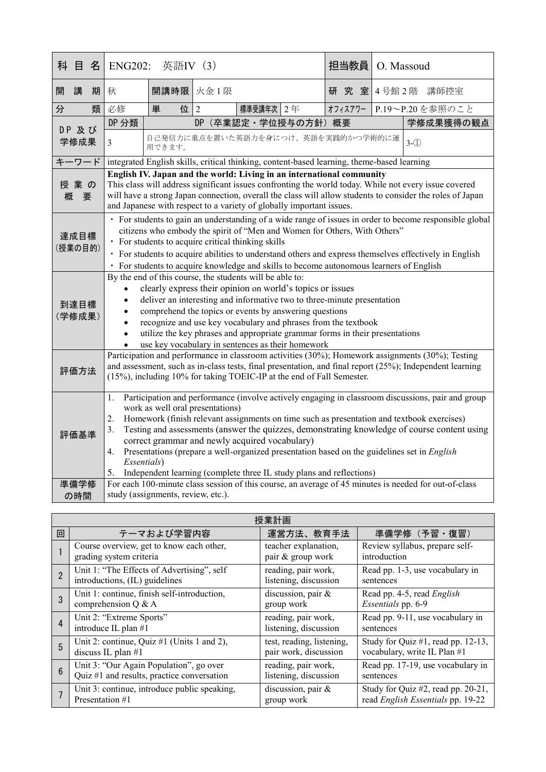| 科               | 目              | 名 | <b>ENG202:</b>                                                                                                                                                                                                                                                                                                                                                                                                                                                                                                                                                                                                   | 英語IV (3)  |                                    |  | 担当教員     | O. Massoud |                 |
|-----------------|----------------|---|------------------------------------------------------------------------------------------------------------------------------------------------------------------------------------------------------------------------------------------------------------------------------------------------------------------------------------------------------------------------------------------------------------------------------------------------------------------------------------------------------------------------------------------------------------------------------------------------------------------|-----------|------------------------------------|--|----------|------------|-----------------|
| 開               | 講              | 期 | 秋                                                                                                                                                                                                                                                                                                                                                                                                                                                                                                                                                                                                                | 開講時限 火金1限 |                                    |  | 究 室<br>研 |            | 4号館2階 講師控室      |
| 分               |                | 類 | 必修                                                                                                                                                                                                                                                                                                                                                                                                                                                                                                                                                                                                               | 位 2<br>単  | 標準受講年次 2年                          |  | オフィスアワー  |            | P.19~P.20を参照のこと |
|                 | DP 及び<br>学修成果  |   | DP 分類                                                                                                                                                                                                                                                                                                                                                                                                                                                                                                                                                                                                            |           | DP (卒業認定·学位授与の方針) 概要               |  |          |            | 学修成果獲得の観点       |
|                 |                |   | $\overline{3}$                                                                                                                                                                                                                                                                                                                                                                                                                                                                                                                                                                                                   | 用できます。    | 自己発信力に重点を置いた英語力を身につけ、英語を実践的かつ学術的に運 |  |          |            | $3-(1)$         |
| キーワード           |                |   | integrated English skills, critical thinking, content-based learning, theme-based learning                                                                                                                                                                                                                                                                                                                                                                                                                                                                                                                       |           |                                    |  |          |            |                 |
| 授業の<br>概<br>要   |                |   | English IV. Japan and the world: Living in an international community<br>This class will address significant issues confronting the world today. While not every issue covered<br>will have a strong Japan connection, overall the class will allow students to consider the roles of Japan<br>and Japanese with respect to a variety of globally important issues.                                                                                                                                                                                                                                              |           |                                    |  |          |            |                 |
| 達成目標<br>(授業の目的) |                |   | · For students to gain an understanding of a wide range of issues in order to become responsible global<br>citizens who embody the spirit of "Men and Women for Others, With Others"<br>• For students to acquire critical thinking skills<br>· For students to acquire abilities to understand others and express themselves effectively in English<br>• For students to acquire knowledge and skills to become autonomous learners of English                                                                                                                                                                  |           |                                    |  |          |            |                 |
|                 | 到達目標<br>(学修成果) |   | By the end of this course, the students will be able to:<br>clearly express their opinion on world's topics or issues<br>deliver an interesting and informative two to three-minute presentation<br>comprehend the topics or events by answering questions<br>recognize and use key vocabulary and phrases from the textbook<br>utilize the key phrases and appropriate grammar forms in their presentations<br>use key vocabulary in sentences as their homework                                                                                                                                                |           |                                    |  |          |            |                 |
|                 | 評価方法           |   | Participation and performance in classroom activities (30%); Homework assignments (30%); Testing<br>and assessment, such as in-class tests, final presentation, and final report (25%); Independent learning<br>(15%), including 10% for taking TOEIC-IP at the end of Fall Semester.                                                                                                                                                                                                                                                                                                                            |           |                                    |  |          |            |                 |
|                 | 評価基準           |   | Participation and performance (involve actively engaging in classroom discussions, pair and group<br>1.<br>work as well oral presentations)<br>Homework (finish relevant assignments on time such as presentation and textbook exercises)<br>2.<br>Testing and assessments (answer the quizzes, demonstrating knowledge of course content using<br>3.<br>correct grammar and newly acquired vocabulary)<br>Presentations (prepare a well-organized presentation based on the guidelines set in <i>English</i><br>4.<br>Essentials)<br>Independent learning (complete three IL study plans and reflections)<br>5. |           |                                    |  |          |            |                 |
|                 | 準備学修           |   | For each 100-minute class session of this course, an average of 45 minutes is needed for out-of-class                                                                                                                                                                                                                                                                                                                                                                                                                                                                                                            |           |                                    |  |          |            |                 |
|                 | の時間            |   | study (assignments, review, etc.).                                                                                                                                                                                                                                                                                                                                                                                                                                                                                                                                                                               |           |                                    |  |          |            |                 |

|                | 授業計画                                         |                           |                                    |  |  |  |
|----------------|----------------------------------------------|---------------------------|------------------------------------|--|--|--|
| 回              | テーマおよび学習内容                                   | 運営方法、教育手法                 | 準備学修 (予習·復習)                       |  |  |  |
|                | Course overview, get to know each other,     | teacher explanation,      | Review syllabus, prepare self-     |  |  |  |
|                | grading system criteria                      | pair & group work         | introduction                       |  |  |  |
| $\overline{2}$ | Unit 1: "The Effects of Advertising", self   | reading, pair work,       | Read pp. 1-3, use vocabulary in    |  |  |  |
|                | introductions, (IL) guidelines               | listening, discussion     | sentences                          |  |  |  |
| 3              | Unit 1: continue, finish self-introduction,  | discussion, pair &        | Read pp. 4-5, read English         |  |  |  |
|                | comprehension $Q & A$                        | group work                | Essentials pp. 6-9                 |  |  |  |
| $\overline{4}$ | Unit 2: "Extreme Sports"                     | reading, pair work,       | Read pp. 9-11, use vocabulary in   |  |  |  |
|                | introduce IL plan #1                         | listening, discussion     | sentences                          |  |  |  |
| 5              | Unit 2: continue, Quiz #1 (Units 1 and 2),   | test, reading, listening, | Study for Quiz #1, read pp. 12-13, |  |  |  |
|                | discuss IL plan $#1$                         | pair work, discussion     | vocabulary, write IL Plan #1       |  |  |  |
| $6\phantom{a}$ | Unit 3: "Our Again Population", go over      | reading, pair work,       | Read pp. 17-19, use vocabulary in  |  |  |  |
|                | Quiz #1 and results, practice conversation   | listening, discussion     | sentences                          |  |  |  |
|                | Unit 3: continue, introduce public speaking, | discussion, pair &        | Study for Quiz #2, read pp. 20-21, |  |  |  |
|                | Presentation #1                              | group work                | read English Essentials pp. 19-22  |  |  |  |